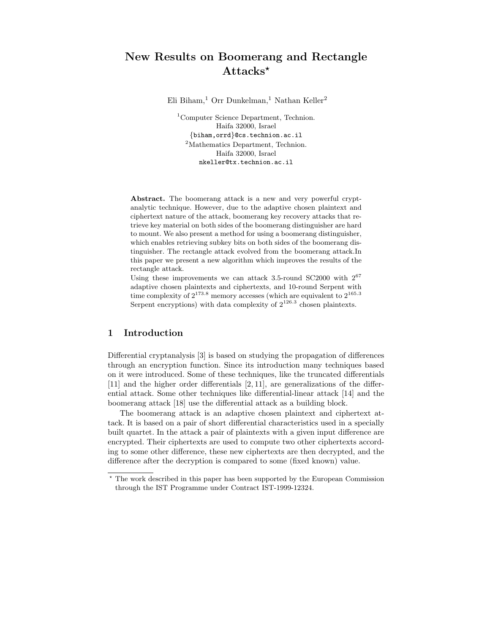# New Results on Boomerang and Rectangle Attacks<sup>\*</sup>

Eli Biham,<sup>1</sup> Orr Dunkelman,<sup>1</sup> Nathan Keller<sup>2</sup>

<sup>1</sup>Computer Science Department, Technion. Haifa 32000, Israel {biham,orrd}@cs.technion.ac.il <sup>2</sup>Mathematics Department, Technion. Haifa 32000, Israel nkeller@tx.technion.ac.il

Abstract. The boomerang attack is a new and very powerful cryptanalytic technique. However, due to the adaptive chosen plaintext and ciphertext nature of the attack, boomerang key recovery attacks that retrieve key material on both sides of the boomerang distinguisher are hard to mount. We also present a method for using a boomerang distinguisher, which enables retrieving subkey bits on both sides of the boomerang distinguisher. The rectangle attack evolved from the boomerang attack.In this paper we present a new algorithm which improves the results of the rectangle attack.

Using these improvements we can attack 3.5-round SC2000 with 2 67 adaptive chosen plaintexts and ciphertexts, and 10-round Serpent with time complexity of  $2^{173.8}$  memory accesses (which are equivalent to  $2^{165.3}$ Serpent encryptions) with data complexity of  $2^{126.3}$  chosen plaintexts.

### 1 Introduction

Differential cryptanalysis [3] is based on studying the propagation of differences through an encryption function. Since its introduction many techniques based on it were introduced. Some of these techniques, like the truncated differentials [11] and the higher order differentials [2, 11], are generalizations of the differential attack. Some other techniques like differential-linear attack [14] and the boomerang attack [18] use the differential attack as a building block.

The boomerang attack is an adaptive chosen plaintext and ciphertext attack. It is based on a pair of short differential characteristics used in a specially built quartet. In the attack a pair of plaintexts with a given input difference are encrypted. Their ciphertexts are used to compute two other ciphertexts according to some other difference, these new ciphertexts are then decrypted, and the difference after the decryption is compared to some (fixed known) value.

<sup>?</sup> The work described in this paper has been supported by the European Commission through the IST Programme under Contract IST-1999-12324.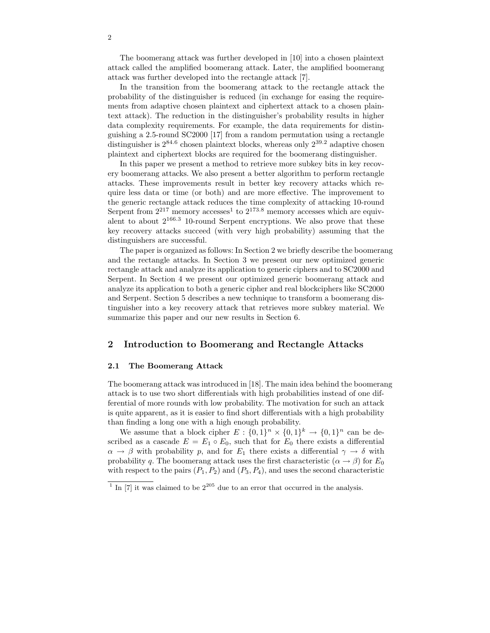The boomerang attack was further developed in [10] into a chosen plaintext attack called the amplified boomerang attack. Later, the amplified boomerang attack was further developed into the rectangle attack [7].

In the transition from the boomerang attack to the rectangle attack the probability of the distinguisher is reduced (in exchange for easing the requirements from adaptive chosen plaintext and ciphertext attack to a chosen plaintext attack). The reduction in the distinguisher's probability results in higher data complexity requirements. For example, the data requirements for distinguishing a 2.5-round SC2000 [17] from a random permutation using a rectangle distinguisher is  $2^{84.6}$  chosen plaintext blocks, whereas only  $2^{39.2}$  adaptive chosen plaintext and ciphertext blocks are required for the boomerang distinguisher.

In this paper we present a method to retrieve more subkey bits in key recovery boomerang attacks. We also present a better algorithm to perform rectangle attacks. These improvements result in better key recovery attacks which require less data or time (or both) and are more effective. The improvement to the generic rectangle attack reduces the time complexity of attacking 10-round Serpent from  $2^{217}$  memory accesses<sup>1</sup> to  $2^{173.8}$  memory accesses which are equivalent to about  $2^{166.3}$  10-round Serpent encryptions. We also prove that these key recovery attacks succeed (with very high probability) assuming that the distinguishers are successful.

The paper is organized as follows: In Section 2 we briefly describe the boomerang and the rectangle attacks. In Section 3 we present our new optimized generic rectangle attack and analyze its application to generic ciphers and to SC2000 and Serpent. In Section 4 we present our optimized generic boomerang attack and analyze its application to both a generic cipher and real blockciphers like SC2000 and Serpent. Section 5 describes a new technique to transform a boomerang distinguisher into a key recovery attack that retrieves more subkey material. We summarize this paper and our new results in Section 6.

### 2 Introduction to Boomerang and Rectangle Attacks

#### 2.1 The Boomerang Attack

The boomerang attack was introduced in [18]. The main idea behind the boomerang attack is to use two short differentials with high probabilities instead of one differential of more rounds with low probability. The motivation for such an attack is quite apparent, as it is easier to find short differentials with a high probability than finding a long one with a high enough probability.

We assume that a block cipher  $E: \{0,1\}^n \times \{0,1\}^k \to \{0,1\}^n$  can be described as a cascade  $E = E_1 \circ E_0$ , such that for  $E_0$  there exists a differential  $\alpha \to \beta$  with probability p, and for  $E_1$  there exists a differential  $\gamma \to \delta$  with probability q. The boomerang attack uses the first characteristic ( $\alpha \rightarrow \beta$ ) for  $E_0$ with respect to the pairs  $(P_1, P_2)$  and  $(P_3, P_4)$ , and uses the second characteristic

<sup>&</sup>lt;sup>1</sup> In [7] it was claimed to be  $2^{205}$  due to an error that occurred in the analysis.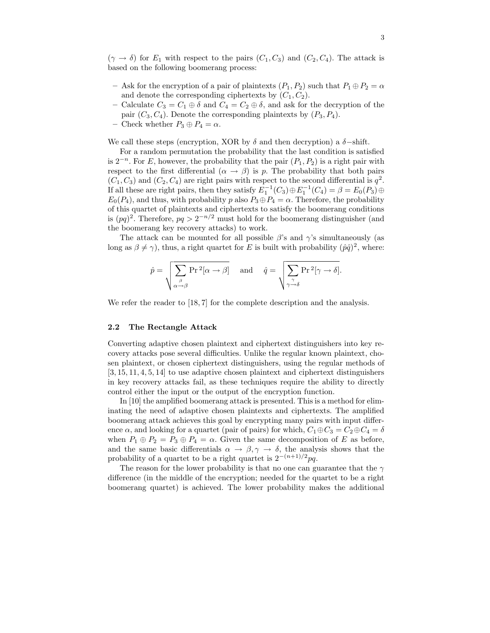$(\gamma \to \delta)$  for  $E_1$  with respect to the pairs  $(C_1, C_3)$  and  $(C_2, C_4)$ . The attack is based on the following boomerang process:

- Ask for the encryption of a pair of plaintexts  $(P_1, P_2)$  such that  $P_1 \oplus P_2 = \alpha$ and denote the corresponding ciphertexts by  $(C_1, C_2)$ .
- Calculate  $C_3 = C_1 \oplus \delta$  and  $C_4 = C_2 \oplus \delta$ , and ask for the decryption of the pair  $(C_3, C_4)$ . Denote the corresponding plaintexts by  $(P_3, P_4)$ .
- Check whether  $P_3 \oplus P_4 = \alpha$ .

We call these steps (encryption, XOR by  $\delta$  and then decryption) a  $\delta$ -shift.

For a random permutation the probability that the last condition is satisfied is  $2^{-n}$ . For E, however, the probability that the pair  $(P_1, P_2)$  is a right pair with respect to the first differential  $(\alpha \rightarrow \beta)$  is p. The probability that both pairs  $(C_1, C_3)$  and  $(C_2, C_4)$  are right pairs with respect to the second differential is  $q^2$ . If all these are right pairs, then they satisfy  $E_1^{-1}(C_3) \oplus E_1^{-1}(C_4) = \beta = E_0(P_3) \oplus$  $E_0(P_4)$ , and thus, with probability p also  $P_3 \oplus P_4 = \alpha$ . Therefore, the probability of this quartet of plaintexts and ciphertexts to satisfy the boomerang conditions is  $(pq)^2$ . Therefore,  $pq > 2^{-n/2}$  must hold for the boomerang distinguisher (and the boomerang key recovery attacks) to work.

The attack can be mounted for all possible  $\beta$ 's and  $\gamma$ 's simultaneously (as long as  $\beta \neq \gamma$ , thus, a right quartet for E is built with probability  $(\hat{p}\hat{q})^2$ , where:

$$
\hat{p} = \sqrt{\sum_{\substack{\beta \\ \alpha \to \beta}} \Pr^2[\alpha \to \beta]} \quad \text{and} \quad \hat{q} = \sqrt{\sum_{\substack{\gamma \\ \gamma \to \delta}} \Pr^2[\gamma \to \delta]}.
$$

We refer the reader to [18, 7] for the complete description and the analysis.

#### 2.2 The Rectangle Attack

Converting adaptive chosen plaintext and ciphertext distinguishers into key recovery attacks pose several difficulties. Unlike the regular known plaintext, chosen plaintext, or chosen ciphertext distinguishers, using the regular methods of [3, 15, 11, 4, 5, 14] to use adaptive chosen plaintext and ciphertext distinguishers in key recovery attacks fail, as these techniques require the ability to directly control either the input or the output of the encryption function.

In [10] the amplified boomerang attack is presented. This is a method for eliminating the need of adaptive chosen plaintexts and ciphertexts. The amplified boomerang attack achieves this goal by encrypting many pairs with input difference  $\alpha$ , and looking for a quartet (pair of pairs) for which,  $C_1 \oplus C_3 = C_2 \oplus C_4 = \delta$ when  $P_1 \oplus P_2 = P_3 \oplus P_4 = \alpha$ . Given the same decomposition of E as before, and the same basic differentials  $\alpha \to \beta, \gamma \to \delta$ , the analysis shows that the probability of a quartet to be a right quartet is  $2^{-(n+1)/2}pq$ .

The reason for the lower probability is that no one can guarantee that the  $\gamma$ difference (in the middle of the encryption; needed for the quartet to be a right boomerang quartet) is achieved. The lower probability makes the additional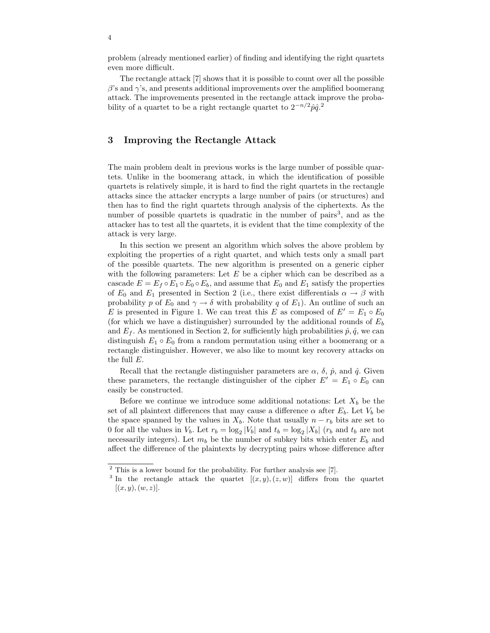problem (already mentioned earlier) of finding and identifying the right quartets even more difficult.

The rectangle attack [7] shows that it is possible to count over all the possible  $\beta$ 's and  $\gamma$ 's, and presents additional improvements over the amplified boomerang attack. The improvements presented in the rectangle attack improve the probability of a quartet to be a right rectangle quartet to  $2^{-n/2} \hat{p} \hat{q}$ <sup>2</sup>

## 3 Improving the Rectangle Attack

The main problem dealt in previous works is the large number of possible quartets. Unlike in the boomerang attack, in which the identification of possible quartets is relatively simple, it is hard to find the right quartets in the rectangle attacks since the attacker encrypts a large number of pairs (or structures) and then has to find the right quartets through analysis of the ciphertexts. As the number of possible quartets is quadratic in the number of pairs<sup>3</sup>, and as the attacker has to test all the quartets, it is evident that the time complexity of the attack is very large.

In this section we present an algorithm which solves the above problem by exploiting the properties of a right quartet, and which tests only a small part of the possible quartets. The new algorithm is presented on a generic cipher with the following parameters: Let  $E$  be a cipher which can be described as a cascade  $E = E_f \circ E_1 \circ E_0 \circ E_b$ , and assume that  $E_0$  and  $E_1$  satisfy the properties of  $E_0$  and  $E_1$  presented in Section 2 (i.e., there exist differentials  $\alpha \to \beta$  with probability p of  $E_0$  and  $\gamma \to \delta$  with probability q of  $E_1$ ). An outline of such an E is presented in Figure 1. We can treat this E as composed of  $E' = E_1 \circ E_0$ (for which we have a distinguisher) surrounded by the additional rounds of  $E_b$ and  $E_f$ . As mentioned in Section 2, for sufficiently high probabilities  $\hat{p}, \hat{q}$ , we can distinguish  $E_1 \circ E_0$  from a random permutation using either a boomerang or a rectangle distinguisher. However, we also like to mount key recovery attacks on the full E.

Recall that the rectangle distinguisher parameters are  $\alpha$ ,  $\delta$ ,  $\hat{p}$ , and  $\hat{q}$ . Given these parameters, the rectangle distinguisher of the cipher  $E' = E_1 \circ E_0$  can easily be constructed.

Before we continue we introduce some additional notations: Let  $X_b$  be the set of all plaintext differences that may cause a difference  $\alpha$  after  $E_b$ . Let  $V_b$  be the space spanned by the values in  $X_b$ . Note that usually  $n - r_b$  bits are set to 0 for all the values in  $V_b$ . Let  $r_b = \log_2|V_b|$  and  $t_b = \log_2|X_b|$  ( $r_b$  and  $t_b$  are not necessarily integers). Let  $m_b$  be the number of subkey bits which enter  $E_b$  and affect the difference of the plaintexts by decrypting pairs whose difference after

 $2$  This is a lower bound for the probability. For further analysis see [7].

<sup>&</sup>lt;sup>3</sup> In the rectangle attack the quartet  $[(x, y), (z, w)]$  differs from the quartet  $[(x, y), (w, z)].$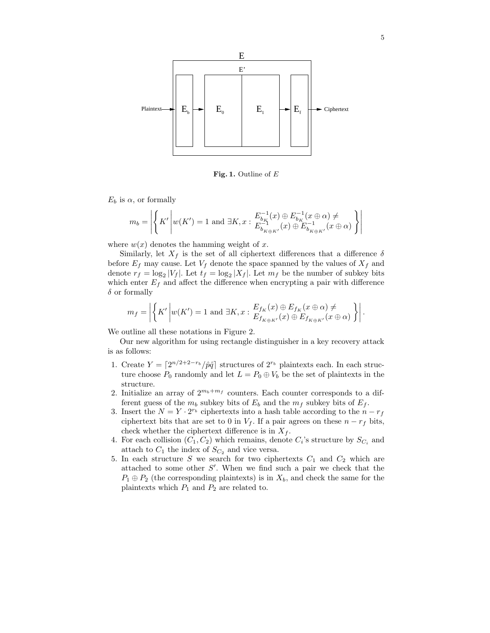

Fig. 1. Outline of  $E$ 

 $E_b$  is  $\alpha$ , or formally

$$
m_b = \left| \left\{ K' \middle| w(K') = 1 \text{ and } \exists K, x : \frac{E_{b_K}^{-1}(x) \oplus E_{b_K}^{-1}(x \oplus \alpha) \neq}{E_{b_{K \oplus K'}}^{-1}(x) \oplus E_{b_{K \oplus K'}}^{-1}(x \oplus \alpha)} \right\} \right|
$$

where  $w(x)$  denotes the hamming weight of x.

Similarly, let  $X_f$  is the set of all ciphertext differences that a difference  $\delta$ before  $E_f$  may cause. Let  $V_f$  denote the space spanned by the values of  $X_f$  and denote  $r_f = \log_2 |V_f|$ . Let  $t_f = \log_2 |X_f|$ . Let  $m_f$  be the number of subkey bits which enter  $E_f$  and affect the difference when encrypting a pair with difference  $\delta$  or formally

$$
m_f = \left| \left\{ K' \middle| w(K') = 1 \text{ and } \exists K, x : \frac{E_{f_K}(x) \oplus E_{f_K}(x \oplus \alpha) \neq}{E_{f_{K \oplus K'}}(x) \oplus E_{f_{K \oplus K'}}(x \oplus \alpha)} \right\} \right|.
$$

We outline all these notations in Figure 2.

Our new algorithm for using rectangle distinguisher in a key recovery attack is as follows:

- 1. Create  $Y = \left[2^{n/2+2-r_b}/\hat{p}\hat{q}\right]$  structures of  $2^{r_b}$  plaintexts each. In each structure choose  $P_0$  randomly and let  $L = P_0 \oplus V_b$  be the set of plaintexts in the structure.
- 2. Initialize an array of  $2^{m_b+m_f}$  counters. Each counter corresponds to a different guess of the  $m_b$  subkey bits of  $E_b$  and the  $m_f$  subkey bits of  $E_f$ .
- 3. Insert the  $N = Y \cdot 2^{r_b}$  ciphertexts into a hash table according to the  $n r_f$ ciphertext bits that are set to 0 in  $V_f$ . If a pair agrees on these  $n - r_f$  bits, check whether the ciphertext difference is in  $X_f$ .
- 4. For each collision  $(C_1, C_2)$  which remains, denote  $C_i$ 's structure by  $S_{C_i}$  and attach to  $C_1$  the index of  $S_{C_2}$  and vice versa.
- 5. In each structure S we search for two ciphertexts  $C_1$  and  $C_2$  which are attached to some other  $S'$ . When we find such a pair we check that the  $P_1 \oplus P_2$  (the corresponding plaintexts) is in  $X_b$ , and check the same for the plaintexts which  $P_1$  and  $P_2$  are related to.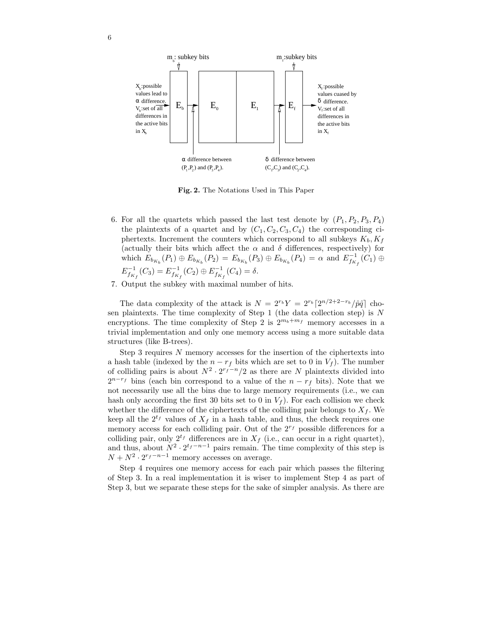

Fig. 2. The Notations Used in This Paper

- 6. For all the quartets which passed the last test denote by  $(P_1, P_2, P_3, P_4)$ the plaintexts of a quartet and by  $(C_1, C_2, C_3, C_4)$  the corresponding ciphertexts. Increment the counters which correspond to all subkeys  $K_b, K_f$ (actually their bits which affect the  $\alpha$  and  $\delta$  differences, respectively) for which  $E_{b_{K_b}}(P_1) \oplus E_{b_{K_b}}(P_2) = E_{b_{K_b}}(P_3) \oplus E_{b_{K_b}}(P_4) = \alpha$  and  $E_{f_{K_f}}^{-1}(C_1) \oplus$  $E_{f_{K_f}}^{-1}(C_3) = E_{f_{K_f}}^{-1}(C_2) \oplus E_{f_{K_f}}^{-1}(C_4) = \delta.$
- 7. Output the subkey with maximal number of hits.

The data complexity of the attack is  $N = 2^{r_b} Y = 2^{r_b} \left[ 2^{n/2+2-r_b} / \hat{p}\hat{q} \right]$  chosen plaintexts. The time complexity of Step 1 (the data collection step) is  $N$ encryptions. The time complexity of Step 2 is  $2^{m_b+m_f}$  memory accesses in a trivial implementation and only one memory access using a more suitable data structures (like B-trees).

Step 3 requires  $N$  memory accesses for the insertion of the ciphertexts into a hash table (indexed by the  $n - r_f$  bits which are set to 0 in  $V_f$ ). The number of colliding pairs is about  $N^2 \cdot 2^{r_f-n}/2$  as there are N plaintexts divided into  $2^{n-r_f}$  bins (each bin correspond to a value of the  $n-r_f$  bits). Note that we not necessarily use all the bins due to large memory requirements (i.e., we can hash only according the first 30 bits set to 0 in  $V_f$ ). For each collision we check whether the difference of the ciphertexts of the colliding pair belongs to  $X_f$ . We keep all the  $2^{t_f}$  values of  $X_f$  in a hash table, and thus, the check requires one memory access for each colliding pair. Out of the  $2^{r_f}$  possible differences for a colliding pair, only  $2^{t_f}$  differences are in  $X_f$  (i.e., can occur in a right quartet), and thus, about  $N^2 \cdot 2^{t_f - n - 1}$  pairs remain. The time complexity of this step is  $N + N^2 \cdot 2^{r_f - n - 1}$  memory accesses on average.

Step 4 requires one memory access for each pair which passes the filtering of Step 3. In a real implementation it is wiser to implement Step 4 as part of Step 3, but we separate these steps for the sake of simpler analysis. As there are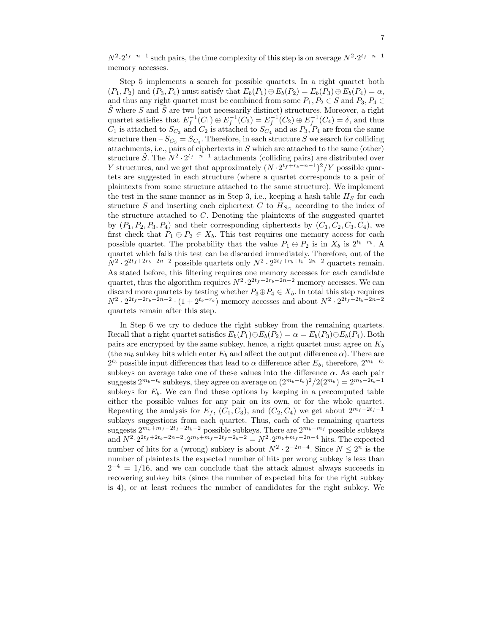$N^2 \cdot 2^{t_f - n - 1}$  such pairs, the time complexity of this step is on average  $N^2 \cdot 2^{t_f - n - 1}$ memory accesses.

Step 5 implements a search for possible quartets. In a right quartet both  $(P_1, P_2)$  and  $(P_3, P_4)$  must satisfy that  $E_b(P_1) \oplus E_b(P_2) = E_b(P_3) \oplus E_b(P_4) = \alpha$ , and thus any right quartet must be combined from some  $P_1, P_2 \in S$  and  $P_3, P_4 \in S$  $\tilde{S}$  where S and  $\tilde{S}$  are two (not necessarily distinct) structures. Moreover, a right quartet satisfies that  $E_f^{-1}(C_1) \oplus E_f^{-1}(C_3) = E_f^{-1}(C_2) \oplus E_f^{-1}(C_4) = \delta$ , and thus  $C_1$  is attached to  $S_{C_3}$  and  $C_2$  is attached to  $S_{C_4}$  and as  $P_3, P_4$  are from the same structure then  $-S_{C_3} = S_{C_4}$ . Therefore, in each structure S we search for colliding attachments, i.e., pairs of ciphertexts in S which are attached to the same (other) structure  $\tilde{S}$ . The  $N^2 \cdot 2^{t_f - n - 1}$  attachments (colliding pairs) are distributed over Y structures, and we get that approximately  $(N \cdot 2^{t_f + r_b - n-1})^2/Y$  possible quartets are suggested in each structure (where a quartet corresponds to a pair of plaintexts from some structure attached to the same structure). We implement the test in the same manner as in Step 3, i.e., keeping a hash table  $H<sub>S</sub>$  for each structure S and inserting each ciphertext C to  $H_{S_C}$  according to the index of the structure attached to C. Denoting the plaintexts of the suggested quartet by  $(P_1, P_2, P_3, P_4)$  and their corresponding ciphertexts by  $(C_1, C_2, C_3, C_4)$ , we first check that  $P_1 \oplus P_2 \in X_b$ . This test requires one memory access for each possible quartet. The probability that the value  $P_1 \oplus P_2$  is in  $X_b$  is  $2^{t_b-r_b}$ . A quartet which fails this test can be discarded immediately. Therefore, out of the  $N^2 \cdot 2^{2t_f + 2r_b - 2n - 2}$  possible quartets only  $N^2 \cdot 2^{2t_f + r_b + t_b - 2n - 2}$  quartets remain. As stated before, this filtering requires one memory accesses for each candidate quartet, thus the algorithm requires  $N^2 \cdot 2^{2t_f + 2r_b - 2n - 2}$  memory accesses. We can discard more quartets by testing whether  $P_3 \oplus P_4 \in X_b$ . In total this step requires  $N^2 \cdot 2^{2t_f + 2r_b - 2n - 2} \cdot (1 + 2^{t_b - r_b})$  memory accesses and about  $N^2 \cdot 2^{2t_f + 2t_b - 2n - 2}$ quartets remain after this step.

In Step 6 we try to deduce the right subkey from the remaining quartets. Recall that a right quartet satisfies  $E_b(P_1) \oplus E_b(P_2) = \alpha = E_b(P_3) \oplus E_b(P_4)$ . Both pairs are encrypted by the same subkey, hence, a right quartet must agree on  $K_b$ (the  $m_b$  subkey bits which enter  $E_b$  and affect the output difference  $\alpha$ ). There are  $2^{t_b}$  possible input differences that lead to  $\alpha$  difference after  $E_b$ , therefore,  $2^{m_b-t_b}$ subkeys on average take one of these values into the difference  $\alpha$ . As each pair suggests  $2^{m_b-t_b}$  subkeys, they agree on average on  $(2^{m_b-t_b})^2/2(2^{m_b}) = 2^{m_b-2t_b-1}$ subkeys for  $E_b$ . We can find these options by keeping in a precomputed table either the possible values for any pair on its own, or for the whole quartet. Repeating the analysis for  $E_f$ ,  $(C_1, C_3)$ , and  $(C_2, C_4)$  we get about  $2^{m_f-2t_f-1}$ subkeys suggestions from each quartet. Thus, each of the remaining quartets suggests  $2^{m_b+m_f-2t_f-2t_b-2}$  possible subkeys. There are  $2^{m_b+m_f}$  possible subkeys and  $N^2 \cdot 2^{2t_f + 2t_b - 2n - 2} \cdot 2^{m_b + m_f - 2t_f - 2b - 2} = N^2 \cdot 2^{m_b + m_f - 2n - 4}$  hits. The expected number of hits for a (wrong) subkey is about  $N^2 \cdot 2^{-2n-4}$ . Since  $N \leq 2^n$  is the number of plaintexts the expected number of hits per wrong subkey is less than  $2^{-4} = 1/16$ , and we can conclude that the attack almost always succeeds in recovering subkey bits (since the number of expected hits for the right subkey is 4), or at least reduces the number of candidates for the right subkey. We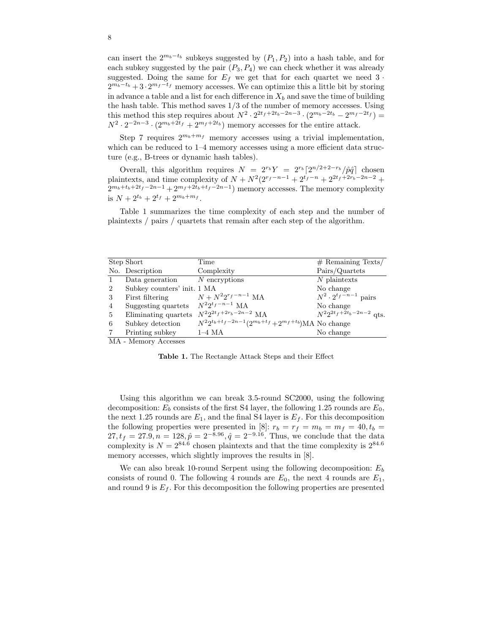can insert the  $2^{m_b-t_b}$  subkeys suggested by  $(P_1, P_2)$  into a hash table, and for each subkey suggested by the pair  $(P_3, P_4)$  we can check whether it was already suggested. Doing the same for  $E_f$  we get that for each quartet we need 3  $\cdot$  $2^{m_b-t_b}+3\cdot 2^{m_f-t_f}$  memory accesses. We can optimize this a little bit by storing in advance a table and a list for each difference in  $X_b$  and save the time of building the hash table. This method saves  $1/3$  of the number of memory accesses. Using this method this step requires about  $N^2 \cdot 2^{2t_f + 2t_b - 2n - 3} \cdot (2^{m_b - 2t_b} - 2^{m_f - 2t_f}) =$  $N^2 \cdot 2^{-2n-3} \cdot (2^{m_b+2t_f} + 2^{m_f+2t_b})$  memory accesses for the entire attack.

Step 7 requires  $2^{m_b+m_f}$  memory accesses using a trivial implementation, which can be reduced to  $1-4$  memory accesses using a more efficient data structure (e.g., B-trees or dynamic hash tables).

Overall, this algorithm requires  $N = 2^{r_b} Y = 2^{r_b} \left[ 2^{n/2+2-r_b} / \hat{p}\hat{q} \right]$  chosen plaintexts, and time complexity of  $N + N^2(2^{r_f - n-1} + 2^{t_f - n} + 2^{2t_f + 2r_b - 2n-2} +$  $2^{m_b+t_b+2t_f-2n-1}+2^{m_f+2t_b+t_f-2n-1}$  memory accesses. The memory complexity is  $N + 2^{t_b} + 2^{t_f} + 2^{m_b + m_f}$ .

Table 1 summarizes the time complexity of each step and the number of plaintexts / pairs / quartets that remain after each step of the algorithm.

|                | Step Short                      | Time                                                          | $#$ Remaining Texts/                      |
|----------------|---------------------------------|---------------------------------------------------------------|-------------------------------------------|
|                | No. Description                 | Complexity                                                    | Pairs/Quartets                            |
|                | Data generation $N$ encryptions |                                                               | $N$ plaintexts                            |
| 2              | Subkey counters' init. 1 MA     |                                                               | No change                                 |
| 3              | First filtering                 | $N + N^2 2^{r_f - n - 1}$ MA                                  | $N^2 \cdot 2^{t_f-n-1}$ pairs             |
| $\overline{4}$ | Suggesting quartets             | $N^2 2^{t_f - n - 1}$ MA                                      | No change                                 |
| 5              | Eliminating quartets            | $N^2 2^{2t_f + 2r_b - 2n - 2}$ MA                             | $N^2 2^{2t_f + \bar{2}t_b - 2n - 2}$ qts. |
| 6              | Subkey detection                | $N^2 2^{t_b+t_f-2n-1} (2^{m_b+t_f}+2^{m_f+t_b})$ MA No change |                                           |
|                | Printing subkey                 | $1-4$ MA                                                      | No change                                 |
| $\mathbf{A}$   | $\mathbf{A}$                    |                                                               |                                           |

MA - Memory Accesses

Table 1. The Rectangle Attack Steps and their Effect

Using this algorithm we can break 3.5-round SC2000, using the following decomposition:  $E_b$  consists of the first S4 layer, the following 1.25 rounds are  $E_0$ , the next 1.25 rounds are  $E_1$ , and the final S4 layer is  $E_f$ . For this decomposition the following properties were presented in [8]:  $r_b = r_f = m_b = m_f = 40, t_b =$  $27, t_f = 27.9, n = 128, \hat{p} = 2^{-8.96}, \hat{q} = 2^{-9.16}$ . Thus, we conclude that the data complexity is  $N = 2^{84.6}$  chosen plaintexts and that the time complexity is  $2^{84.6}$ memory accesses, which slightly improves the results in [8].

We can also break 10-round Serpent using the following decomposition:  $E<sub>b</sub>$ consists of round 0. The following 4 rounds are  $E_0$ , the next 4 rounds are  $E_1$ , and round 9 is  $E_f$ . For this decomposition the following properties are presented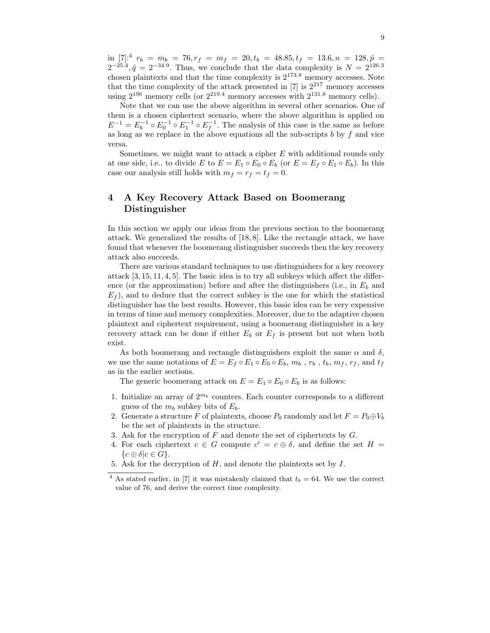in [7]:<sup>4</sup>  $r_b = m_b = 76, r_f = m_f = 20, t_b = 48.85, t_f = 13.6, n = 128, \hat{p} =$  $2^{-25.4}, \hat{q} = 2^{-34.9}$ . Thus, we conclude that the data complexity is  $N = 2^{126.3}$ chosen plaintexts and that the time complexity is  $2^{173.8}$  memory accesses. Note that the time complexity of the attack presented in  $[7]$  is  $2^{217}$  memory accesses using  $2^{196}$  memory cells (or  $2^{219.4}$  memory accesses with  $2^{131.8}$  memory cells).

Note that we can use the above algorithm in several other scenarios. One of them is a chosen ciphertext scenario, where the above algorithm is applied on  $E^{-1} = E_b^{-1} \circ E_0^{-1} \circ E_1^{-1} \circ E_f^{-1}$ . The analysis of this case is the same as before as long as we replace in the above equations all the sub-scripts  $b$  by  $f$  and vice versa.

Sometimes, we might want to attack a cipher E with additional rounds only at one side, i.e., to divide E to  $E = E_1 \circ E_0 \circ E_b$  (or  $E = E_f \circ E_1 \circ E_b$ ). In this case our analysis still holds with  $m_f = r_f = t_f = 0$ .

# 4 A Key Recovery Attack Based on Boomerang Distinguisher

In this section we apply our ideas from the previous section to the boomerang attack. We generalized the results of [18, 8]. Like the rectangle attack, we have found that whenever the boomerang distinguisher succeeds then the key recovery attack also succeeds.

There are various standard techniques to use distinguishers for a key recovery attack [3, 15, 11, 4, 5]. The basic idea is to try all subkeys which affect the difference (or the approximation) before and after the distinguishers (i.e., in  $E_b$  and  $E_f$ ), and to deduce that the correct subkey is the one for which the statistical distinguisher has the best results. However, this basic idea can be very expensive in terms of time and memory complexities. Moreover, due to the adaptive chosen plaintext and ciphertext requirement, using a boomerang distinguisher in a key recovery attack can be done if either  $E_b$  or  $E_f$  is present but not when both exist.

As both boomerang and rectangle distinguishers exploit the same  $\alpha$  and  $\delta$ , we use the same notations of  $E = E_f \circ E_1 \circ E_0 \circ E_b$ ,  $m_b$ ,  $r_b$ ,  $t_b$ ,  $m_f$ ,  $r_f$ , and  $t_f$ as in the earlier sections.

The generic boomerang attack on  $E = E_1 \circ E_0 \circ E_b$  is as follows:

- 1. Initialize an array of  $2^{m_b}$  counters. Each counter corresponds to a different guess of the  $m_b$  subkey bits of  $E_b$ .
- 2. Generate a structure F of plaintexts, choose  $P_0$  randomly and let  $F = P_0 \oplus V_b$ be the set of plaintexts in the structure.
- 3. Ask for the encryption of  $F$  and denote the set of ciphertexts by  $G$ .
- 4. For each ciphertext  $c \in G$  compute  $c' = c \oplus \delta$ , and define the set  $H =$  ${c \oplus \delta | c \in G}.$
- 5. Ask for the decryption of  $H$ , and denote the plaintexts set by  $I$ .

<sup>&</sup>lt;sup>4</sup> As stated earlier, in [7] it was mistakenly claimed that  $t_b = 64$ . We use the correct value of 76, and derive the correct time complexity.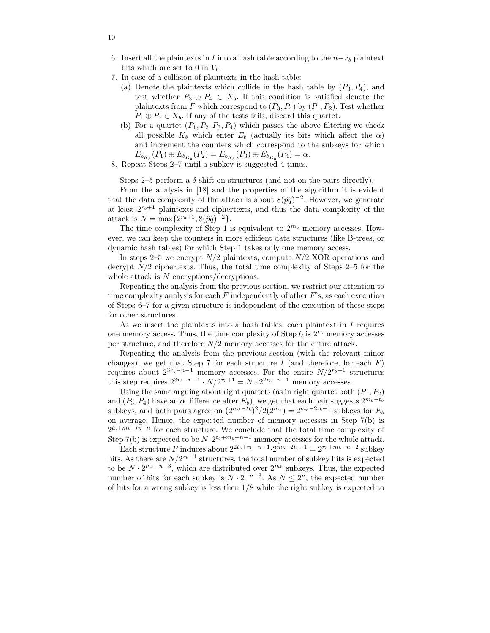- 6. Insert all the plaintexts in I into a hash table according to the  $n-r_b$  plaintext bits which are set to 0 in  $V_b$ .
- 7. In case of a collision of plaintexts in the hash table:
	- (a) Denote the plaintexts which collide in the hash table by  $(P_3, P_4)$ , and test whether  $P_3 \oplus P_4 \in X_b$ . If this condition is satisfied denote the plaintexts from F which correspond to  $(P_3, P_4)$  by  $(P_1, P_2)$ . Test whether  $P_1 \oplus P_2 \in X_b$ . If any of the tests fails, discard this quartet.
	- (b) For a quartet  $(P_1, P_2, P_3, P_4)$  which passes the above filtering we check all possible  $K_b$  which enter  $E_b$  (actually its bits which affect the  $\alpha$ ) and increment the counters which correspond to the subkeys for which  $E_{b_{K_b}}(P_1) \oplus E_{b_{K_b}}(P_2) = E_{b_{K_b}}(P_3) \oplus E_{b_{K_b}}(P_4) = \alpha.$
- 8. Repeat Steps 2–7 until a subkey is suggested 4 times.

Steps 2–5 perform a  $\delta$ -shift on structures (and not on the pairs directly).

From the analysis in [18] and the properties of the algorithm it is evident that the data complexity of the attack is about  $8(\hat{p}\hat{q})^{-2}$ . However, we generate at least  $2^{r_b+1}$  plaintexts and ciphertexts, and thus the data complexity of the attack is  $N = \max\{2^{r_b+1}, 8(\hat{p}\hat{q})^{-2}\}.$ 

The time complexity of Step 1 is equivalent to  $2^{m_b}$  memory accesses. However, we can keep the counters in more efficient data structures (like B-trees, or dynamic hash tables) for which Step 1 takes only one memory access.

In steps 2–5 we encrypt  $N/2$  plaintexts, compute  $N/2$  XOR operations and decrypt  $N/2$  ciphertexts. Thus, the total time complexity of Steps 2–5 for the whole attack is  $N$  encryptions/decryptions.

Repeating the analysis from the previous section, we restrict our attention to time complexity analysis for each  $F$  independently of other  $F$ 's, as each execution of Steps 6–7 for a given structure is independent of the execution of these steps for other structures.

As we insert the plaintexts into a hash tables, each plaintext in  $I$  requires one memory access. Thus, the time complexity of Step 6 is  $2^{r_b}$  memory accesses per structure, and therefore  $N/2$  memory accesses for the entire attack.

Repeating the analysis from the previous section (with the relevant minor changes), we get that Step 7 for each structure I (and therefore, for each  $F$ ) requires about  $2^{3r_b-n-1}$  memory accesses. For the entire  $N/2^{r_b+1}$  structures this step requires  $2^{3r_b-n-1} \cdot N/2^{r_b+1} = N \cdot 2^{2r_b-n-1}$  memory accesses.

Using the same arguing about right quartets (as in right quartet both  $(P_1, P_2)$ ) and  $(P_3, P_4)$  have an  $\alpha$  difference after  $E_b$ ), we get that each pair suggests  $2^{m_b-t_b}$ subkeys, and both pairs agree on  $(2^{m_b-t_b})^2/2(2^{m_b}) = 2^{m_b-2t_b-1}$  subkeys for  $E_b$ on average. Hence, the expected number of memory accesses in Step 7(b) is  $2^{t_b+m_b+r_b-n}$  for each structure. We conclude that the total time complexity of Step 7(b) is expected to be  $N \cdot 2^{t_b+m_b-n-1}$  memory accesses for the whole attack.

Each structure F induces about  $2^{2t_b+r_b-n-1} \cdot 2^{m_b-2t_b-1} = 2^{r_b+m_b-n-2}$  subkey hits. As there are  $N/2^{r_b+1}$  structures, the total number of subkey hits is expected to be  $N \cdot 2^{m_b - n - 3}$ , which are distributed over  $2^{m_b}$  subkeys. Thus, the expected number of hits for each subkey is  $N \cdot 2^{-n-3}$ . As  $N \leq 2^n$ , the expected number of hits for a wrong subkey is less then 1/8 while the right subkey is expected to

10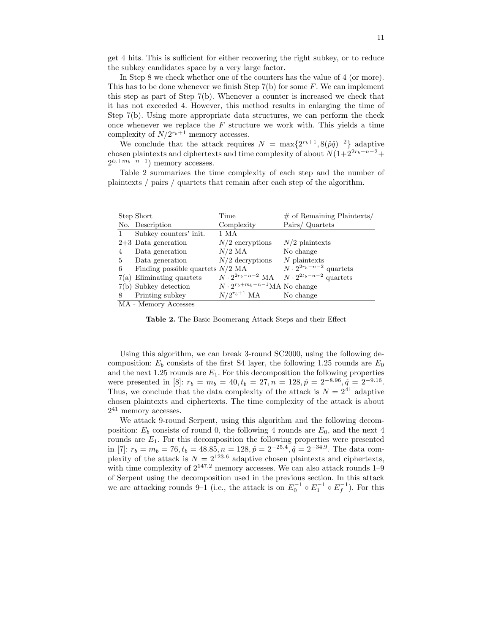get 4 hits. This is sufficient for either recovering the right subkey, or to reduce the subkey candidates space by a very large factor.

In Step 8 we check whether one of the counters has the value of 4 (or more). This has to be done whenever we finish Step  $7(b)$  for some F. We can implement this step as part of Step 7(b). Whenever a counter is increased we check that it has not exceeded 4. However, this method results in enlarging the time of Step 7(b). Using more appropriate data structures, we can perform the check once whenever we replace the  $F$  structure we work with. This yields a time complexity of  $N/2^{r_b+1}$  memory accesses.

We conclude that the attack requires  $N = \max\{2^{r_b+1}, 8(\hat{p}\hat{q})^{-2}\}\$ adaptive chosen plaintexts and ciphertexts and time complexity of about  $N(1+2^{2r_b-n-2}+$  $2^{t_b+m_b-n-1}$ ) memory accesses.

Table 2 summarizes the time complexity of each step and the number of plaintexts / pairs / quartets that remain after each step of the algorithm.

|   | Step Short                         | Time                                   | $#$ of Remaining Plaintexts/        |
|---|------------------------------------|----------------------------------------|-------------------------------------|
|   |                                    |                                        |                                     |
|   | No. Description                    | Complexity                             | Pairs/Quartets                      |
|   | Subkey counters' init.             | 1 MA                                   |                                     |
|   | $2+3$ Data generation              | $N/2$ encryptions                      | $N/2$ plaintexts                    |
| 4 | Data generation                    | $N/2$ MA                               | No change                           |
| 5 | Data generation                    | $N/2$ decryptions                      | $N$ plaintexts                      |
| 6 | Finding possible quartets $N/2$ MA |                                        | $N \cdot 2^{2r_b - n - 2}$ quartets |
|   | $7(a)$ Eliminating quartets        | $N \cdot 2^{2r_b - n - 2}$ MA          | $N \cdot 2^{2t_b - n - 2}$ quartets |
|   | 7(b) Subkey detection              | $N \cdot 2^{r_b+m_b-n-1}$ MA No change |                                     |
| 8 | Printing subkey                    | $N/2^{r_b+1}$ MA                       | No change                           |
|   | $\cdots$ $\cdots$                  |                                        |                                     |

MA - Memory Accesses

Table 2. The Basic Boomerang Attack Steps and their Effect

Using this algorithm, we can break 3-round SC2000, using the following decomposition:  $E_b$  consists of the first S4 layer, the following 1.25 rounds are  $E_0$ and the next 1.25 rounds are  $E_1$ . For this decomposition the following properties were presented in [8]:  $r_b = m_b = 40, t_b = 27, n = 128, \hat{p} = 2^{-8.96}, \hat{q} = 2^{-9.16}.$ Thus, we conclude that the data complexity of the attack is  $N = 2^{41}$  adaptive chosen plaintexts and ciphertexts. The time complexity of the attack is about  $2^{41}$  memory accesses.

We attack 9-round Serpent, using this algorithm and the following decomposition:  $E_b$  consists of round 0, the following 4 rounds are  $E_0$ , and the next 4 rounds are  $E_1$ . For this decomposition the following properties were presented in [7]:  $r_b = m_b = 76$ ,  $t_b = 48.85$ ,  $n = 128$ ,  $\hat{p} = 2^{-25.4}$ ,  $\hat{q} = 2^{-34.9}$ . The data complexity of the attack is  $N = 2^{123.6}$  adaptive chosen plaintexts and ciphertexts, with time complexity of  $2^{147.2}$  memory accesses. We can also attack rounds  $1-9$ of Serpent using the decomposition used in the previous section. In this attack we are attacking rounds 9–1 (i.e., the attack is on  $E_0^{-1} \circ E_1^{-1} \circ E_f^{-1}$ ). For this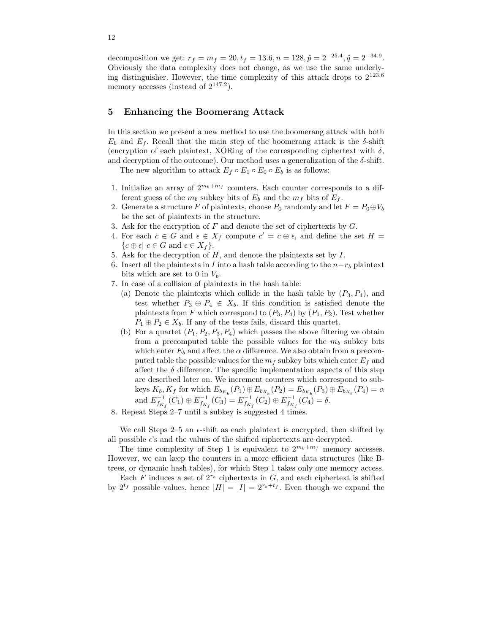decomposition we get:  $r_f = m_f = 20, t_f = 13.6, n = 128, \hat{p} = 2^{-25.4}, \hat{q} = 2^{-34.9}.$ Obviously the data complexity does not change, as we use the same underlying distinguisher. However, the time complexity of this attack drops to 2 123.6 memory accesses (instead of  $2^{147.2}$ ).

# 5 Enhancing the Boomerang Attack

In this section we present a new method to use the boomerang attack with both  $E_b$  and  $E_f$ . Recall that the main step of the boomerang attack is the  $\delta$ -shift (encryption of each plaintext, XORing of the corresponding ciphertext with  $\delta$ , and decryption of the outcome). Our method uses a generalization of the  $\delta$ -shift.

The new algorithm to attack  $E_f \circ E_1 \circ E_0 \circ E_b$  is as follows:

- 1. Initialize an array of  $2^{m_b+m_f}$  counters. Each counter corresponds to a different guess of the  $m_b$  subkey bits of  $E_b$  and the  $m_f$  bits of  $E_f$ .
- 2. Generate a structure F of plaintexts, choose  $P_0$  randomly and let  $F = P_0 \oplus V_b$ be the set of plaintexts in the structure.
- 3. Ask for the encryption of  $F$  and denote the set of ciphertexts by  $G$ .
- 4. For each  $c \in G$  and  $\epsilon \in X_f$  compute  $c' = c \oplus \epsilon$ , and define the set  $H =$  ${c \oplus \epsilon | c \in G \text{ and } \epsilon \in X_f}.$
- 5. Ask for the decryption of  $H$ , and denote the plaintexts set by  $I$ .
- 6. Insert all the plaintexts in I into a hash table according to the  $n-r_b$  plaintext bits which are set to 0 in  $V_b$ .
- 7. In case of a collision of plaintexts in the hash table:
	- (a) Denote the plaintexts which collide in the hash table by  $(P_3, P_4)$ , and test whether  $P_3 \oplus P_4 \in X_b$ . If this condition is satisfied denote the plaintexts from F which correspond to  $(P_3, P_4)$  by  $(P_1, P_2)$ . Test whether  $P_1 \oplus P_2 \in X_b$ . If any of the tests fails, discard this quartet.
	- (b) For a quartet  $(P_1, P_2, P_3, P_4)$  which passes the above filtering we obtain from a precomputed table the possible values for the  $m_b$  subkey bits which enter  $E_b$  and affect the  $\alpha$  difference. We also obtain from a precomputed table the possible values for the  $m_f$  subkey bits which enter  $E_f$  and affect the  $\delta$  difference. The specific implementation aspects of this step are described later on. We increment counters which correspond to subkeys  $K_b, K_f$  for which  $E_{b_{K_b}}(P_1) \oplus E_{b_{K_b}}(P_2) = E_{b_{K_b}}(P_3) \oplus E_{b_{K_b}}(P_4) = \alpha$ and  $E_{f_{K_f}}^{-1}(C_1) \oplus E_{f_{K_f}}^{-1}(C_3) = E_{f_{K_f}}^{-1}(C_2) \oplus E_{f_{K_f}}^{-1}(C_4) = \delta.$
- 8. Repeat Steps 2–7 until a subkey is suggested 4 times.

We call Steps 2–5 an  $\epsilon$ -shift as each plaintext is encrypted, then shifted by all possible  $\epsilon$ 's and the values of the shifted ciphertexts are decrypted.

The time complexity of Step 1 is equivalent to  $2^{m_b+m_f}$  memory accesses. However, we can keep the counters in a more efficient data structures (like Btrees, or dynamic hash tables), for which Step 1 takes only one memory access.

Each  $F$  induces a set of  $2^{r_b}$  ciphertexts in  $G$ , and each ciphertext is shifted by  $2^{t_f}$  possible values, hence  $|H| = |I| = 2^{r_b+t_f}$ . Even though we expand the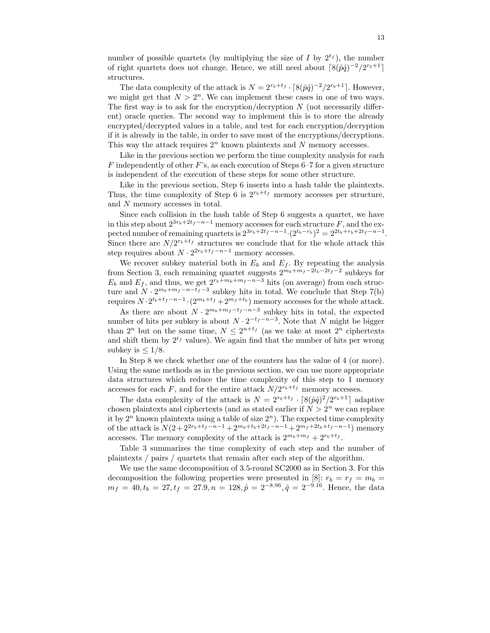number of possible quartets (by multiplying the size of I by  $2^{t_f}$ ), the number of right quartets does not change. Hence, we still need about  $\left[8(\hat{p}\hat{q})^{-2}/2^{r_b+1}\right]$ structures.

The data complexity of the attack is  $N = 2^{r_b + t_f} \cdot \left[ 8(\hat{p}\hat{q})^{-2} / 2^{r_b + 1} \right]$ . However, we might get that  $N > 2<sup>n</sup>$ . We can implement these cases in one of two ways. The first way is to ask for the encryption/decryption  $N$  (not necessarily different) oracle queries. The second way to implement this is to store the already encrypted/decrypted values in a table, and test for each encryption/decryption if it is already in the table, in order to save most of the encryptions/decryptions. This way the attack requires  $2<sup>n</sup>$  known plaintexts and N memory accesses.

Like in the previous section we perform the time complexity analysis for each F independently of other F's, as each execution of Steps  $6-7$  for a given structure is independent of the execution of these steps for some other structure.

Like in the previous section, Step 6 inserts into a hash table the plaintexts. Thus, the time complexity of Step 6 is  $2^{r_b+t_f}$  memory accesses per structure, and N memory accesses in total.

Since each collision in the hash table of Step 6 suggests a quartet, we have in this step about  $2^{3r_b+2t_f-n-1}$  memory accesses for each structure F, and the expected number of remaining quartets is  $2^{3r_b+2t_f-n-1} \cdot (2^{t_b-r_b})^2 = 2^{2t_b+r_b+2t_f-n-1}$ . Since there are  $N/2^{r_b+t_f}$  structures we conclude that for the whole attack this step requires about  $N \cdot 2^{2r_b + t_f - n - 1}$  memory accesses.

We recover subkey material both in  $E_b$  and  $E_f$ . By repeating the analysis from Section 3, each remaining quartet suggests  $2^{m_b+m_f-2t_b-2t_f-2}$  subkeys for  $E_b$  and  $E_f$ , and thus, we get  $2^{r_b+m_b+m_f-n-3}$  hits (on average) from each structure and  $N \cdot 2^{m_b+m_f-n-t_f-3}$  subkey hits in total. We conclude that Step 7(b) requires  $N \cdot 2^{t_b+t_f-n-1} \cdot (2^{m_b+t_f} + 2^{m_f+t_b})$  memory accesses for the whole attack.

As there are about  $N \cdot 2^{m_b+m_f-t_f-n-3}$  subkey hits in total, the expected number of hits per subkey is about  $N \cdot 2^{-t_f - n - 3}$ . Note that N might be bigger than  $2^n$  but on the same time,  $N \leq 2^{n+t_f}$  (as we take at most  $2^n$  ciphertexts and shift them by  $2^{t_f}$  values). We again find that the number of hits per wrong subkey is  $\leq 1/8$ .

In Step 8 we check whether one of the counters has the value of 4 (or more). Using the same methods as in the previous section, we can use more appropriate data structures which reduce the time complexity of this step to 1 memory accesses for each F, and for the entire attack  $N/2^{r_b+t_f}$  memory accesses.

The data complexity of the attack is  $N = 2^{r_b + t_f} \cdot \left[ 8(\hat{p}\hat{q})^2 / 2^{r_b + 1} \right]$  adaptive chosen plaintexts and ciphertexts (and as stated earlier if  $N > 2<sup>n</sup>$  we can replace it by  $2^n$  known plaintexts using a table of size  $2^n$ ). The expected time complexity of the attack is  $N(2+2^{2r_b+t_f-n-1}+2^{m_b+t_b+2t_f-n-1}+2^{m_f+2t_b+t_f-n-1})$  memory accesses. The memory complexity of the attack is  $2^{m_b+m_f} + 2^{r_b+t_f}$ .

Table 3 summarizes the time complexity of each step and the number of plaintexts / pairs / quartets that remain after each step of the algorithm.

We use the same decomposition of 3.5-round SC2000 as in Section 3. For this decomposition the following properties were presented in [8]:  $r_b = r_f = m_b$  =  $m_f = 40, t_b = 27, t_f = 27.9, n = 128, \hat{p} = 2^{-8.96}, \hat{q} = 2^{-9.16}$ . Hence, the data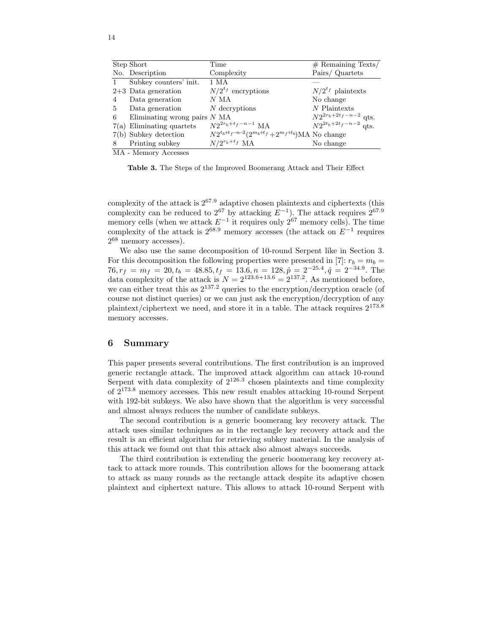|    | Step Short                     | Time                                                     | $#$ Remaining Texts/                                   |
|----|--------------------------------|----------------------------------------------------------|--------------------------------------------------------|
|    | No. Description                | Complexity                                               | Pairs/ Quartets                                        |
|    | Subkey counters' init.         | 1 MA                                                     |                                                        |
|    | $2+3$ Data generation          | $N/2^{t_f}$ encryptions                                  | $N/2^{t_f}$ plaintexts                                 |
| 4  | Data generation                | $N$ MA                                                   | No change                                              |
| 5  | Data generation                | $N$ decryptions                                          | $N$ Plaintexts                                         |
| 6  | Eliminating wrong pairs $N$ MA |                                                          | $N2^{2r_b+2t_f-n-2}$ qts.<br>$N2^{2t_b+2t_f-n-2}$ qts. |
|    | $7(a)$ Eliminating quartets    | $N2^{2r_b + t_f - n - 1}$ MA                             |                                                        |
|    | 7(b) Subkey detection          | $N2^{t_b+t_f-n-2}(2^{m_b+t_f}+2^{m_f+t_b})$ MA No change |                                                        |
| -8 | Printing subkey                | $N/2^{r_b+t_f}$ MA                                       | No change                                              |
|    | MA - Memory Accesses           |                                                          |                                                        |

Table 3. The Steps of the Improved Boomerang Attack and Their Effect

complexity of the attack is 2 <sup>67</sup>.<sup>9</sup> adaptive chosen plaintexts and ciphertexts (this complexity can be reduced to  $2^{67}$  by attacking  $E^{-1}$ ). The attack requires  $2^{67.9}$ memory cells (when we attack  $E^{-1}$  it requires only  $2^{67}$  memory cells). The time complexity of the attack is  $2^{68.9}$  memory accesses (the attack on  $E^{-1}$  requires 2 <sup>68</sup> memory accesses).

We also use the same decomposition of 10-round Serpent like in Section 3. For this decomposition the following properties were presented in [7]:  $r_b = m_b =$  $76, r_f = m_f = 20, t_b = 48.85, t_f = 13.6, n = 128, \hat{p} = 2^{-25.4}, \hat{q} = 2^{-34.9}.$  The data complexity of the attack is  $N = 2^{123.6 + 13.6} = 2^{137.2}$ . As mentioned before, we can either treat this as  $2^{137.2}$  queries to the encryption/decryption oracle (of course not distinct queries) or we can just ask the encryption/decryption of any plaintext/ciphertext we need, and store it in a table. The attack requires  $2^{173.8}$ memory accesses.

#### 6 Summary

This paper presents several contributions. The first contribution is an improved generic rectangle attack. The improved attack algorithm can attack 10-round Serpent with data complexity of  $2^{126.3}$  chosen plaintexts and time complexity of 2 <sup>173</sup>.<sup>8</sup> memory accesses. This new result enables attacking 10-round Serpent with 192-bit subkeys. We also have shown that the algorithm is very successful and almost always reduces the number of candidate subkeys.

The second contribution is a generic boomerang key recovery attack. The attack uses similar techniques as in the rectangle key recovery attack and the result is an efficient algorithm for retrieving subkey material. In the analysis of this attack we found out that this attack also almost always succeeds.

The third contribution is extending the generic boomerang key recovery attack to attack more rounds. This contribution allows for the boomerang attack to attack as many rounds as the rectangle attack despite its adaptive chosen plaintext and ciphertext nature. This allows to attack 10-round Serpent with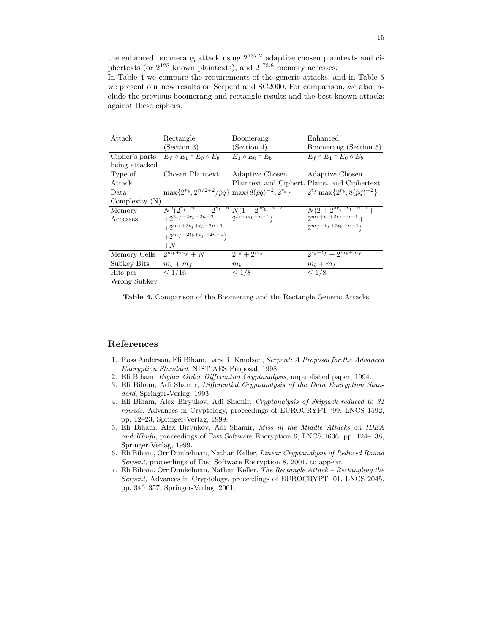the enhanced boomerang attack using  $2^{137.2}$  adaptive chosen plaintexts and ciphertexts (or  $2^{128}$  known plaintexts), and  $2^{173.8}$  memory accesses.

In Table 4 we compare the requirements of the generic attacks, and in Table 5 we present our new results on Serpent and SC2000. For comparison, we also include the previous boomerang and rectangle results and the best known attacks against these ciphers.

| Attack           | Rectangle                                                                                                  | Boomerang                 | Enhanced                                              |  |
|------------------|------------------------------------------------------------------------------------------------------------|---------------------------|-------------------------------------------------------|--|
|                  | (Section 3)                                                                                                | (Section 4)               | Boomerang (Section 5)                                 |  |
| Cipher's parts   | $E_f \circ E_1 \circ E_0 \circ E_b$                                                                        | $E_1 \circ E_0 \circ E_b$ | $E_f \circ E_1 \circ E_0 \circ E_b$                   |  |
| being attacked   |                                                                                                            |                           |                                                       |  |
| Type of          | Chosen Plaintext                                                                                           | Adaptive Chosen           | Adaptive Chosen                                       |  |
| Attack           |                                                                                                            |                           | Plaintext and Ciphert. Plaint. and Ciphertext         |  |
| Data.            | $\max\{2^{r_b}, 2^{n/2+2}/\hat{p}\hat{q}\}\max\{8(\hat{p}\hat{q})^{-2}, 2^{r_b}\}\$                        |                           | $2^{t_f}$ max $\{2^{r_b}, 8(\hat{p}\hat{q})^{-2}\}$   |  |
| Complexity $(N)$ |                                                                                                            |                           |                                                       |  |
| Memory           | $\frac{N^2(2^{r_f-n-1}+2^{t_f-n} N(1+2^{2r_b-n-2}+2^{2t_f+2r_b-2n-2} N(1+2^{2r_b-n-1}))}{2^{t_b+m_b-n-1}}$ |                           | $\frac{N(2+2^{2r_b+t_f-n-1})}{2^{m_b+t_b+2t_f-n-1}+}$ |  |
| Accesses         |                                                                                                            |                           |                                                       |  |
|                  | $+2^{m_b+2t_f+t_b-2n-1}$                                                                                   |                           | $2^{m_f+t_f+2t_b-n-1}$                                |  |
|                  | $+2^{m_{f}+2t_{b}+t_{f}-2n-1})$                                                                            |                           |                                                       |  |
|                  | $+N$                                                                                                       |                           |                                                       |  |
| Memory Cells     | $\overline{2^{m_b+m_f}+N}$                                                                                 | $2^{r_b}+2^{m_b}$         | $2^{r_b + t_f} + 2^{m_b + m_f}$                       |  |
| Subkey Bits      | $m_b+m_f$                                                                                                  | m <sub>b</sub>            | $m_b+m_f$                                             |  |
| Hits per         | $\leq 1/16$                                                                                                | $\leq 1/8$                | $\leq 1/8$                                            |  |
| Wrong Subkey     |                                                                                                            |                           |                                                       |  |

Table 4. Comparison of the Boomerang and the Rectangle Generic Attacks

#### References

- 1. Ross Anderson, Eli Biham, Lars R. Knudsen, Serpent: A Proposal for the Advanced Encryption Standard, NIST AES Proposal, 1998.
- 2. Eli Biham, Higher Order Differential Cryptanalysis, unpublished paper, 1994.
- 3. Eli Biham, Adi Shamir, Differential Cryptanalysis of the Data Encryption Standard, Springer-Verlag, 1993.
- 4. Eli Biham, Alex Biryukov, Adi Shamir, Cryptanalysis of Skipjack reduced to 31 rounds, Advances in Cryptology, proceedings of EUROCRYPT '99, LNCS 1592, pp. 12–23, Springer-Verlag, 1999.
- 5. Eli Biham, Alex Biryukov, Adi Shamir, Miss in the Middle Attacks on IDEA and Khufu, proceedings of Fast Software Encryption 6, LNCS 1636, pp. 124–138, Springer-Verlag, 1999.
- 6. Eli Biham, Orr Dunkelman, Nathan Keller, Linear Cryptanalysis of Reduced Round Serpent, proceedings of Fast Software Encryption 8, 2001, to appear.
- 7. Eli Biham, Orr Dunkelman, Nathan Keller, The Rectangle Attack Rectangling the Serpent, Advances in Cryptology, proceedings of EUROCRYPT '01, LNCS 2045, pp. 340–357, Springer-Verlag, 2001.